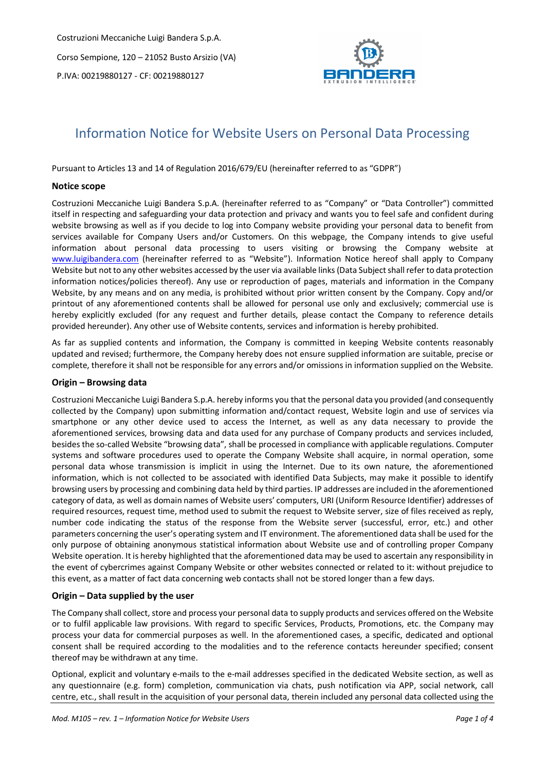

# Information Notice for Website Users on Personal Data Processing

Pursuant to Articles 13 and 14 of Regulation 2016/679/EU (hereinafter referred to as "GDPR")

#### **Notice scope**

Costruzioni Meccaniche Luigi Bandera S.p.A. (hereinafter referred to as "Company" or "Data Controller") committed itself in respecting and safeguarding your data protection and privacy and wants you to feel safe and confident during website browsing as well as if you decide to log into Company website providing your personal data to benefit from services available for Company Users and/or Customers. On this webpage, the Company intends to give useful information about personal data processing to users visiting or browsing the Company website at www.luigibandera.com (hereinafter referred to as "Website"). Information Notice hereof shall apply to Company Website but not to any other websites accessed by the user via available links(Data Subject shall refer to data protection information notices/policies thereof). Any use or reproduction of pages, materials and information in the Company Website, by any means and on any media, is prohibited without prior written consent by the Company. Copy and/or printout of any aforementioned contents shall be allowed for personal use only and exclusively; commercial use is hereby explicitly excluded (for any request and further details, please contact the Company to reference details provided hereunder). Any other use of Website contents, services and information is hereby prohibited.

As far as supplied contents and information, the Company is committed in keeping Website contents reasonably updated and revised; furthermore, the Company hereby does not ensure supplied information are suitable, precise or complete, therefore it shall not be responsible for any errors and/or omissions in information supplied on the Website.

#### **Origin – Browsing data**

Costruzioni Meccaniche Luigi Bandera S.p.A. hereby informs you that the personal data you provided (and consequently collected by the Company) upon submitting information and/contact request, Website login and use of services via smartphone or any other device used to access the Internet, as well as any data necessary to provide the aforementioned services, browsing data and data used for any purchase of Company products and services included, besides the so-called Website "browsing data", shall be processed in compliance with applicable regulations. Computer systems and software procedures used to operate the Company Website shall acquire, in normal operation, some personal data whose transmission is implicit in using the Internet. Due to its own nature, the aforementioned information, which is not collected to be associated with identified Data Subjects, may make it possible to identify browsing users by processing and combining data held by third parties. IP addresses are included in the aforementioned category of data, as well as domain names of Website users' computers, URI (Uniform Resource Identifier) addresses of required resources, request time, method used to submit the request to Website server, size of files received as reply, number code indicating the status of the response from the Website server (successful, error, etc.) and other parameters concerning the user's operating system and IT environment. The aforementioned data shall be used for the only purpose of obtaining anonymous statistical information about Website use and of controlling proper Company Website operation. It is hereby highlighted that the aforementioned data may be used to ascertain any responsibility in the event of cybercrimes against Company Website or other websites connected or related to it: without prejudice to this event, as a matter of fact data concerning web contacts shall not be stored longer than a few days.

#### **Origin – Data supplied by the user**

The Company shall collect, store and process your personal data to supply products and services offered on the Website or to fulfil applicable law provisions. With regard to specific Services, Products, Promotions, etc. the Company may process your data for commercial purposes as well. In the aforementioned cases, a specific, dedicated and optional consent shall be required according to the modalities and to the reference contacts hereunder specified; consent thereof may be withdrawn at any time.

Optional, explicit and voluntary e-mails to the e-mail addresses specified in the dedicated Website section, as well as any questionnaire (e.g. form) completion, communication via chats, push notification via APP, social network, call centre, etc., shall result in the acquisition of your personal data, therein included any personal data collected using the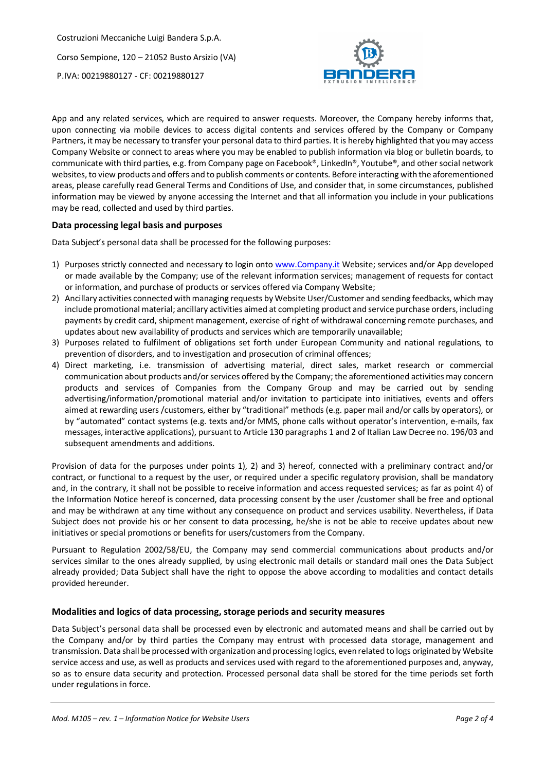

App and any related services, which are required to answer requests. Moreover, the Company hereby informs that, upon connecting via mobile devices to access digital contents and services offered by the Company or Company Partners, it may be necessary to transfer your personal data to third parties. It is hereby highlighted that you may access Company Website or connect to areas where you may be enabled to publish information via blog or bulletin boards, to communicate with third parties, e.g. from Company page on Facebook®, LinkedIn®, Youtube®, and other social network websites, to view products and offers and to publish comments or contents. Before interacting with the aforementioned areas, please carefully read General Terms and Conditions of Use, and consider that, in some circumstances, published information may be viewed by anyone accessing the Internet and that all information you include in your publications may be read, collected and used by third parties.

### **Data processing legal basis and purposes**

Data Subject's personal data shall be processed for the following purposes:

- 1) Purposes strictly connected and necessary to login onto www.Company.it Website; services and/or App developed or made available by the Company; use of the relevant information services; management of requests for contact or information, and purchase of products or services offered via Company Website;
- 2) Ancillary activities connected with managing requests by Website User/Customer and sending feedbacks, which may include promotional material; ancillary activities aimed at completing product and service purchase orders, including payments by credit card, shipment management, exercise of right of withdrawal concerning remote purchases, and updates about new availability of products and services which are temporarily unavailable;
- 3) Purposes related to fulfilment of obligations set forth under European Community and national regulations, to prevention of disorders, and to investigation and prosecution of criminal offences;
- 4) Direct marketing, i.e. transmission of advertising material, direct sales, market research or commercial communication about products and/or services offered by the Company; the aforementioned activities may concern products and services of Companies from the Company Group and may be carried out by sending advertising/information/promotional material and/or invitation to participate into initiatives, events and offers aimed at rewarding users /customers, either by "traditional" methods (e.g. paper mail and/or calls by operators), or by "automated" contact systems (e.g. texts and/or MMS, phone calls without operator's intervention, e-mails, fax messages, interactive applications), pursuant to Article 130 paragraphs 1 and 2 of Italian Law Decree no. 196/03 and subsequent amendments and additions.

Provision of data for the purposes under points 1), 2) and 3) hereof, connected with a preliminary contract and/or contract, or functional to a request by the user, or required under a specific regulatory provision, shall be mandatory and, in the contrary, it shall not be possible to receive information and access requested services; as far as point 4) of the Information Notice hereof is concerned, data processing consent by the user /customer shall be free and optional and may be withdrawn at any time without any consequence on product and services usability. Nevertheless, if Data Subject does not provide his or her consent to data processing, he/she is not be able to receive updates about new initiatives or special promotions or benefits for users/customers from the Company.

Pursuant to Regulation 2002/58/EU, the Company may send commercial communications about products and/or services similar to the ones already supplied, by using electronic mail details or standard mail ones the Data Subject already provided; Data Subject shall have the right to oppose the above according to modalities and contact details provided hereunder.

#### **Modalities and logics of data processing, storage periods and security measures**

Data Subject's personal data shall be processed even by electronic and automated means and shall be carried out by the Company and/or by third parties the Company may entrust with processed data storage, management and transmission. Data shall be processed with organization and processing logics, even related to logs originated by Website service access and use, as well as products and services used with regard to the aforementioned purposes and, anyway, so as to ensure data security and protection. Processed personal data shall be stored for the time periods set forth under regulations in force.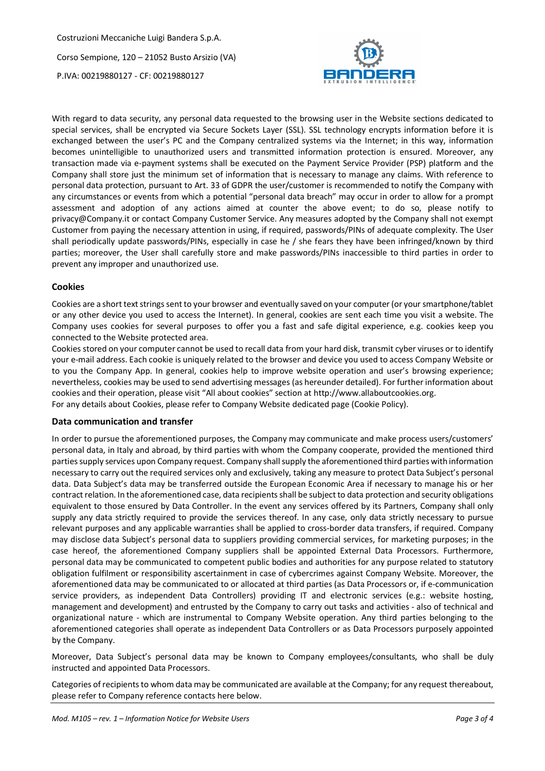

With regard to data security, any personal data requested to the browsing user in the Website sections dedicated to special services, shall be encrypted via Secure Sockets Layer (SSL). SSL technology encrypts information before it is exchanged between the user's PC and the Company centralized systems via the Internet; in this way, information becomes unintelligible to unauthorized users and transmitted information protection is ensured. Moreover, any transaction made via e-payment systems shall be executed on the Payment Service Provider (PSP) platform and the Company shall store just the minimum set of information that is necessary to manage any claims. With reference to personal data protection, pursuant to Art. 33 of GDPR the user/customer is recommended to notify the Company with any circumstances or events from which a potential "personal data breach" may occur in order to allow for a prompt assessment and adoption of any actions aimed at counter the above event; to do so, please notify to privacy@Company.it or contact Company Customer Service. Any measures adopted by the Company shall not exempt Customer from paying the necessary attention in using, if required, passwords/PINs of adequate complexity. The User shall periodically update passwords/PINs, especially in case he / she fears they have been infringed/known by third parties; moreover, the User shall carefully store and make passwords/PINs inaccessible to third parties in order to prevent any improper and unauthorized use.

## **Cookies**

Cookies are a short text strings sent to your browser and eventually saved on your computer (or your smartphone/tablet or any other device you used to access the Internet). In general, cookies are sent each time you visit a website. The Company uses cookies for several purposes to offer you a fast and safe digital experience, e.g. cookies keep you connected to the Website protected area.

Cookies stored on your computer cannot be used to recall data from your hard disk, transmit cyber viruses or to identify your e-mail address. Each cookie is uniquely related to the browser and device you used to access Company Website or to you the Company App. In general, cookies help to improve website operation and user's browsing experience; nevertheless, cookies may be used to send advertising messages (as hereunder detailed). For further information about cookies and their operation, please visit "All about cookies" section at http://www.allaboutcookies.org. For any details about Cookies, please refer to Company Website dedicated page (Cookie Policy).

#### **Data communication and transfer**

In order to pursue the aforementioned purposes, the Company may communicate and make process users/customers' personal data, in Italy and abroad, by third parties with whom the Company cooperate, provided the mentioned third parties supply services upon Company request. Company shall supply the aforementioned third parties with information necessary to carry out the required services only and exclusively, taking any measure to protect Data Subject's personal data. Data Subject's data may be transferred outside the European Economic Area if necessary to manage his or her contract relation. In the aforementioned case, data recipients shall be subject to data protection and security obligations equivalent to those ensured by Data Controller. In the event any services offered by its Partners, Company shall only supply any data strictly required to provide the services thereof. In any case, only data strictly necessary to pursue relevant purposes and any applicable warranties shall be applied to cross-border data transfers, if required. Company may disclose data Subject's personal data to suppliers providing commercial services, for marketing purposes; in the case hereof, the aforementioned Company suppliers shall be appointed External Data Processors. Furthermore, personal data may be communicated to competent public bodies and authorities for any purpose related to statutory obligation fulfilment or responsibility ascertainment in case of cybercrimes against Company Website. Moreover, the aforementioned data may be communicated to or allocated at third parties (as Data Processors or, if e-communication service providers, as independent Data Controllers) providing IT and electronic services (e.g.: website hosting, management and development) and entrusted by the Company to carry out tasks and activities - also of technical and organizational nature - which are instrumental to Company Website operation. Any third parties belonging to the aforementioned categories shall operate as independent Data Controllers or as Data Processors purposely appointed by the Company.

Moreover, Data Subject's personal data may be known to Company employees/consultants, who shall be duly instructed and appointed Data Processors.

Categories of recipients to whom data may be communicated are available at the Company; for any request thereabout, please refer to Company reference contacts here below.